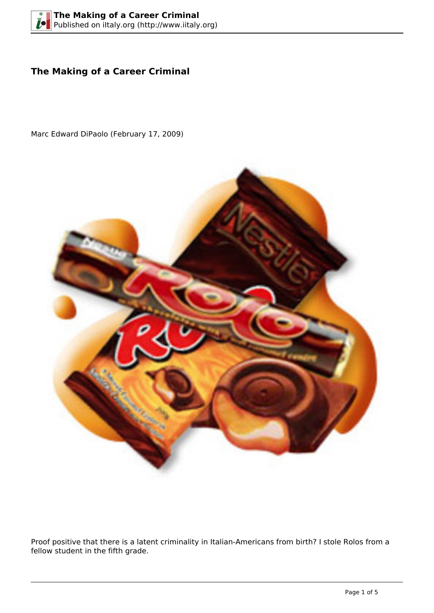## **The Making of a Career Criminal**

Marc Edward DiPaolo (February 17, 2009)



Proof positive that there is a latent criminality in Italian-Americans from birth? I stole Rolos from a fellow student in the fifth grade.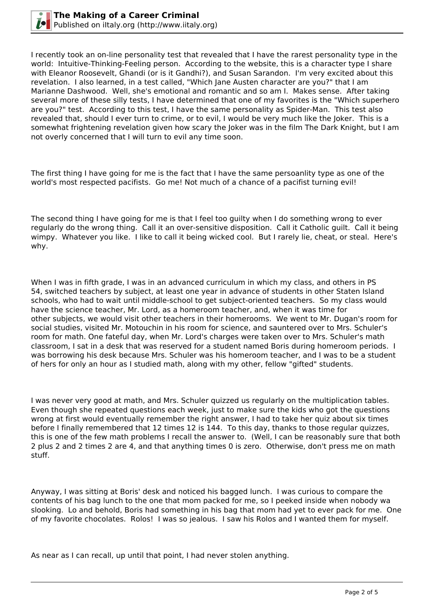

I recently took an on-line personality test that revealed that I have the rarest personality type in the world: Intuitive-Thinking-Feeling person. According to the website, this is a character type I share with Eleanor Roosevelt, Ghandi (or is it Gandhi?), and Susan Sarandon. I'm very excited about this revelation. I also learned, in a test called, "Which Jane Austen character are you?" that I am Marianne Dashwood. Well, she's emotional and romantic and so am I. Makes sense. After taking several more of these silly tests, I have determined that one of my favorites is the "Which superhero are you?" test. According to this test, I have the same personality as Spider-Man. This test also revealed that, should I ever turn to crime, or to evil, I would be very much like the Joker. This is a somewhat frightening revelation given how scary the Joker was in the film The Dark Knight, but I am not overly concerned that I will turn to evil any time soon.

The first thing I have going for me is the fact that I have the same persoanlity type as one of the world's most respected pacifists. Go me! Not much of a chance of a pacifist turning evil!

The second thing I have going for me is that I feel too guilty when I do something wrong to ever regularly do the wrong thing. Call it an over-sensitive disposition. Call it Catholic guilt. Call it being wimpy. Whatever you like. I like to call it being wicked cool. But I rarely lie, cheat, or steal. Here's why.

When I was in fifth grade, I was in an advanced curriculum in which my class, and others in PS 54, switched teachers by subject, at least one year in advance of students in other Staten Island schools, who had to wait until middle-school to get subject-oriented teachers. So my class would have the science teacher, Mr. Lord, as a homeroom teacher, and, when it was time for other subjects, we would visit other teachers in their homerooms. We went to Mr. Dugan's room for social studies, visited Mr. Motouchin in his room for science, and sauntered over to Mrs. Schuler's room for math. One fateful day, when Mr. Lord's charges were taken over to Mrs. Schuler's math classroom, I sat in a desk that was reserved for a student named Boris during homeroom periods. I was borrowing his desk because Mrs. Schuler was his homeroom teacher, and I was to be a student of hers for only an hour as I studied math, along with my other, fellow "gifted" students.

I was never very good at math, and Mrs. Schuler quizzed us regularly on the multiplication tables. Even though she repeated questions each week, just to make sure the kids who got the questions wrong at first would eventually remember the right answer, I had to take her quiz about six times before I finally remembered that 12 times 12 is 144. To this day, thanks to those regular quizzes, this is one of the few math problems I recall the answer to. (Well, I can be reasonably sure that both 2 plus 2 and 2 times 2 are 4, and that anything times 0 is zero. Otherwise, don't press me on math stuff.

Anyway, I was sitting at Boris' desk and noticed his bagged lunch. I was curious to compare the contents of his bag lunch to the one that mom packed for me, so I peeked inside when nobody wa slooking. Lo and behold, Boris had something in his bag that mom had yet to ever pack for me. One of my favorite chocolates. Rolos! I was so jealous. I saw his Rolos and I wanted them for myself.

As near as I can recall, up until that point, I had never stolen anything.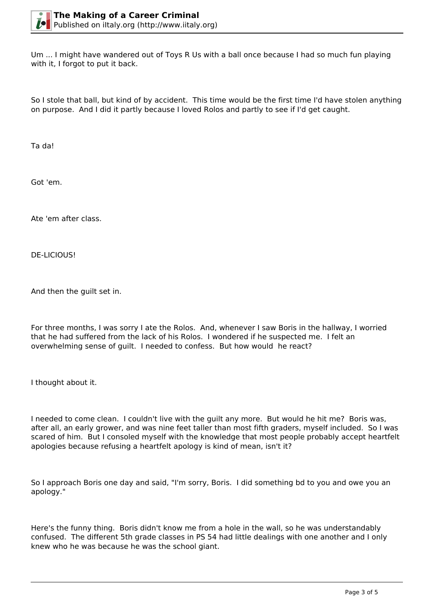Um ... I might have wandered out of Toys R Us with a ball once because I had so much fun playing with it, I forgot to put it back.

So I stole that ball, but kind of by accident. This time would be the first time I'd have stolen anything on purpose. And I did it partly because I loved Rolos and partly to see if I'd get caught.

Ta da!

Got 'em.

Ate 'em after class.

DE-LICIOUS!

And then the guilt set in.

For three months, I was sorry I ate the Rolos. And, whenever I saw Boris in the hallway, I worried that he had suffered from the lack of his Rolos. I wondered if he suspected me. I felt an overwhelming sense of guilt. I needed to confess. But how would he react?

I thought about it.

I needed to come clean. I couldn't live with the guilt any more. But would he hit me? Boris was, after all, an early grower, and was nine feet taller than most fifth graders, myself included. So I was scared of him. But I consoled myself with the knowledge that most people probably accept heartfelt apologies because refusing a heartfelt apology is kind of mean, isn't it?

So I approach Boris one day and said, "I'm sorry, Boris. I did something bd to you and owe you an apology."

Here's the funny thing. Boris didn't know me from a hole in the wall, so he was understandably confused. The different 5th grade classes in PS 54 had little dealings with one another and I only knew who he was because he was the school giant.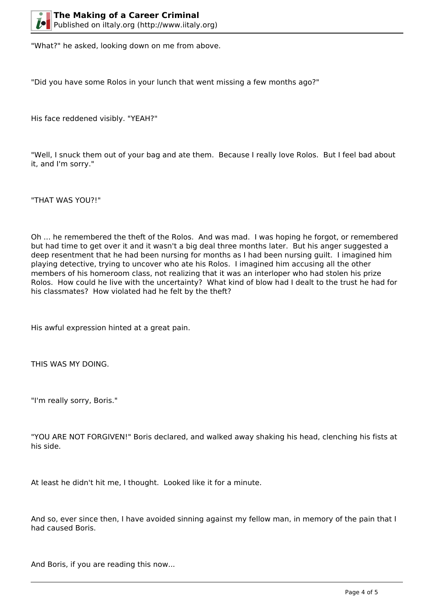"What?" he asked, looking down on me from above.

"Did you have some Rolos in your lunch that went missing a few months ago?"

His face reddened visibly. "YEAH?"

"Well, I snuck them out of your bag and ate them. Because I really love Rolos. But I feel bad about it, and I'm sorry."

"THAT WAS YOU?!"

Oh ... he remembered the theft of the Rolos. And was mad. I was hoping he forgot, or remembered but had time to get over it and it wasn't a big deal three months later. But his anger suggested a deep resentment that he had been nursing for months as I had been nursing guilt. I imagined him playing detective, trying to uncover who ate his Rolos. I imagined him accusing all the other members of his homeroom class, not realizing that it was an interloper who had stolen his prize Rolos. How could he live with the uncertainty? What kind of blow had I dealt to the trust he had for his classmates? How violated had he felt by the theft?

His awful expression hinted at a great pain.

THIS WAS MY DOING.

"I'm really sorry, Boris."

"YOU ARE NOT FORGIVEN!" Boris declared, and walked away shaking his head, clenching his fists at his side.

At least he didn't hit me, I thought. Looked like it for a minute.

And so, ever since then, I have avoided sinning against my fellow man, in memory of the pain that I had caused Boris.

And Boris, if you are reading this now...